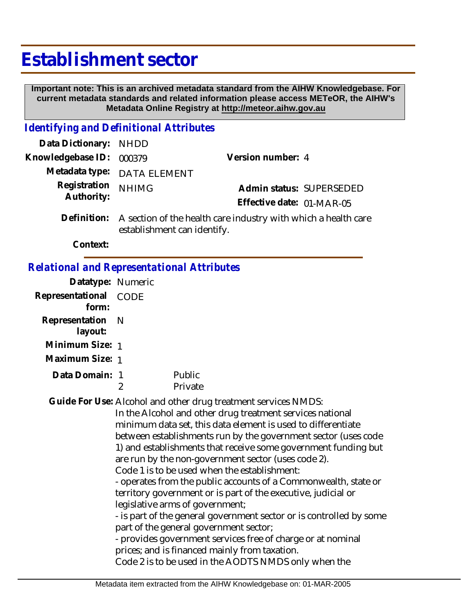# **Establishment sector**

 **Important note: This is an archived metadata standard from the AIHW Knowledgebase. For current metadata standards and related information please access METeOR, the AIHW's Metadata Online Registry at http://meteor.aihw.gov.au**

## *Identifying and Definitional Attributes*

| Data Dictionary: NHDD      |                                                                           |                           |  |
|----------------------------|---------------------------------------------------------------------------|---------------------------|--|
| Knowledgebase ID: 000379   |                                                                           | Version number: 4         |  |
|                            | Metadata type: DATA ELEMENT                                               |                           |  |
| Registration<br>Authority: | <b>NHIMG</b>                                                              | Admin status: SUPERSEDED  |  |
|                            |                                                                           | Effective date: 01-MAR-05 |  |
|                            | Definition: A section of the health care industry with which a health can |                           |  |

A section of the health care industry with which a health care establishment can identify. **Definition:**

**Context:**

# *Relational and Representational Attributes*

|                           | Datatype: Numeric |                                                                                                                                                                                                                                                                                                                                                                                                                                                                                                                                                                                                                                                                                                                                                                                                                                                                                                        |
|---------------------------|-------------------|--------------------------------------------------------------------------------------------------------------------------------------------------------------------------------------------------------------------------------------------------------------------------------------------------------------------------------------------------------------------------------------------------------------------------------------------------------------------------------------------------------------------------------------------------------------------------------------------------------------------------------------------------------------------------------------------------------------------------------------------------------------------------------------------------------------------------------------------------------------------------------------------------------|
| Representational<br>form: | <b>CODE</b>       |                                                                                                                                                                                                                                                                                                                                                                                                                                                                                                                                                                                                                                                                                                                                                                                                                                                                                                        |
| Representation<br>layout: | -N                |                                                                                                                                                                                                                                                                                                                                                                                                                                                                                                                                                                                                                                                                                                                                                                                                                                                                                                        |
| Minimum Size: 1           |                   |                                                                                                                                                                                                                                                                                                                                                                                                                                                                                                                                                                                                                                                                                                                                                                                                                                                                                                        |
| Maximum Size: 1           |                   |                                                                                                                                                                                                                                                                                                                                                                                                                                                                                                                                                                                                                                                                                                                                                                                                                                                                                                        |
| Data Domain: 1            | 2                 | Public<br>Private                                                                                                                                                                                                                                                                                                                                                                                                                                                                                                                                                                                                                                                                                                                                                                                                                                                                                      |
|                           |                   | Guide For Use: Alcohol and other drug treatment services NMDS:<br>In the Alcohol and other drug treatment services national<br>minimum data set, this data element is used to differentiate<br>between establishments run by the government sector (uses code<br>1) and establishments that receive some government funding but<br>are run by the non-government sector (uses code 2).<br>Code 1 is to be used when the establishment:<br>- operates from the public accounts of a Commonwealth, state or<br>territory government or is part of the executive, judicial or<br>legislative arms of government;<br>- is part of the general government sector or is controlled by some<br>part of the general government sector;<br>- provides government services free of charge or at nominal<br>prices; and is financed mainly from taxation.<br>Code 2 is to be used in the AODTS NMDS only when the |